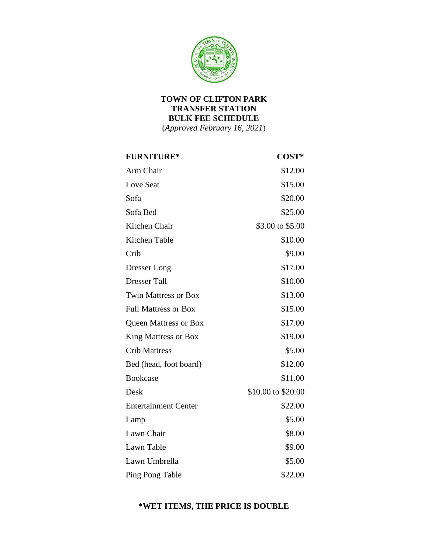

## **TOWN OF CLIFTON PARK TRANSFER STATION BULK FEE SCHEDULE**

(*Approved February 16, 2021*)

| <b>FURNITURE*</b>            | COST*              |
|------------------------------|--------------------|
| Arm Chair                    | \$12.00            |
| Love Seat                    | \$15.00            |
| Sofa                         | \$20.00            |
| Sofa Bed                     | \$25.00            |
| Kitchen Chair                | \$3.00 to \$5.00   |
| Kitchen Table                | \$10.00            |
| Crib                         | \$9.00             |
| Dresser Long                 | \$17.00            |
| <b>Dresser Tall</b>          | \$10.00            |
| <b>Twin Mattress or Box</b>  | \$13.00            |
| <b>Full Mattress or Box</b>  | \$15.00            |
| <b>Queen Mattress or Box</b> | \$17.00            |
| King Mattress or Box         | \$19.00            |
| <b>Crib Mattress</b>         | \$5.00             |
| Bed (head, foot board)       | \$12.00            |
| <b>Bookcase</b>              | \$11.00            |
| Desk                         | \$10.00 to \$20.00 |
| <b>Entertainment Center</b>  | \$22.00            |
| Lamp                         | \$5.00             |
| Lawn Chair                   | \$8.00             |
| Lawn Table                   | \$9.00             |
| Lawn Umbrella                | \$5.00             |
| Ping Pong Table              | \$22.00            |

## **\*WET ITEMS, THE PRICE IS DOUBLE**